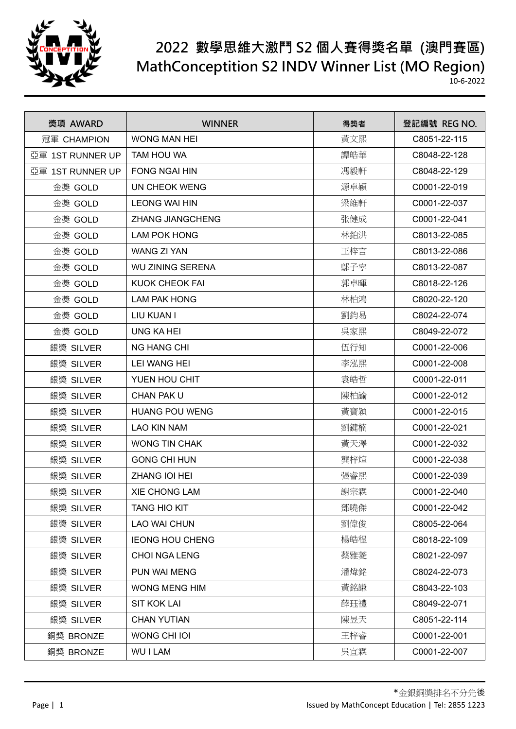

## **2022 數學思維大激鬥 S2 個人賽得獎名單 (澳門賽區) MathConceptition S2 INDV Winner List (MO Region)**

10-6-2022

| 獎項 AWARD         | <b>WINNER</b>           | 得獎者 | 登記編號 REG NO. |
|------------------|-------------------------|-----|--------------|
| 冠軍 CHAMPION      | <b>WONG MAN HEI</b>     | 黃文熙 | C8051-22-115 |
| 亞軍 1ST RUNNER UP | TAM HOU WA              | 譚皓華 | C8048-22-128 |
| 亞軍 1ST RUNNER UP | <b>FONG NGAI HIN</b>    | 馮毅軒 | C8048-22-129 |
| 金獎 GOLD          | UN CHEOK WENG           | 源卓穎 | C0001-22-019 |
| 金獎 GOLD          | <b>LEONG WAI HIN</b>    | 梁維軒 | C0001-22-037 |
| 金獎 GOLD          | <b>ZHANG JIANGCHENG</b> | 张健成 | C0001-22-041 |
| 金獎 GOLD          | <b>LAM POK HONG</b>     | 林鉑洪 | C8013-22-085 |
| 金獎 GOLD          | <b>WANG ZI YAN</b>      | 王梓言 | C8013-22-086 |
| 金獎 GOLD          | <b>WU ZINING SERENA</b> | 鄔子寧 | C8013-22-087 |
| 金獎 GOLD          | <b>KUOK CHEOK FAI</b>   | 郭卓暉 | C8018-22-126 |
| 金獎 GOLD          | <b>LAM PAK HONG</b>     | 林柏鴻 | C8020-22-120 |
| 金獎 GOLD          | LIU KUAN I              | 劉鈞易 | C8024-22-074 |
| 金獎 GOLD          | <b>UNG KA HEI</b>       | 吳家熙 | C8049-22-072 |
| 銀獎 SILVER        | <b>NG HANG CHI</b>      | 伍行知 | C0001-22-006 |
| 銀獎 SILVER        | <b>LEI WANG HEI</b>     | 李泓熙 | C0001-22-008 |
| 銀獎 SILVER        | YUEN HOU CHIT           | 袁皓哲 | C0001-22-011 |
| 銀獎 SILVER        | CHAN PAK U              | 陳柏諭 | C0001-22-012 |
| 銀獎 SILVER        | <b>HUANG POU WENG</b>   | 黃寶穎 | C0001-22-015 |
| 銀獎 SILVER        | <b>LAO KIN NAM</b>      | 劉鍵楠 | C0001-22-021 |
| 銀獎 SILVER        | <b>WONG TIN CHAK</b>    | 黃天澤 | C0001-22-032 |
| 銀獎 SILVER        | <b>GONG CHI HUN</b>     | 龔梓煊 | C0001-22-038 |
| 銀獎 SILVER        | ZHANG IOI HEI           | 張睿熙 | C0001-22-039 |
| 銀獎 SILVER        | <b>XIE CHONG LAM</b>    | 謝宗霖 | C0001-22-040 |
| 銀獎 SILVER        | <b>TANG HIO KIT</b>     | 鄧曉傑 | C0001-22-042 |
| 銀獎 SILVER        | <b>LAO WAI CHUN</b>     | 劉偉俊 | C8005-22-064 |
| 銀獎 SILVER        | <b>IEONG HOU CHENG</b>  | 楊皓程 | C8018-22-109 |
| 銀獎 SILVER        | CHOI NGA LENG           | 蔡雅菱 | C8021-22-097 |
| 銀獎 SILVER        | PUN WAI MENG            | 潘煒銘 | C8024-22-073 |
| 銀獎 SILVER        | WONG MENG HIM           | 黃銘謙 | C8043-22-103 |
| 銀獎 SILVER        | <b>SIT KOK LAI</b>      | 薛珏禮 | C8049-22-071 |
| 銀獎 SILVER        | <b>CHAN YUTIAN</b>      | 陳昱天 | C8051-22-114 |
| 銅獎 BRONZE        | WONG CHI IOI            | 王梓睿 | C0001-22-001 |
| 銅獎 BRONZE        | <b>WUILAM</b>           | 吳宜霖 | C0001-22-007 |